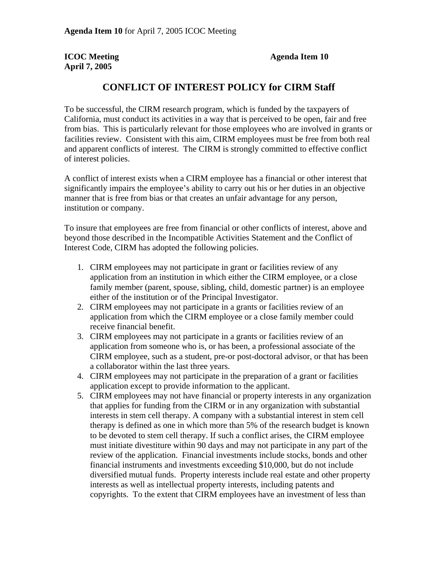**April 7, 2005** 

## **ICOC Meeting Agenda Item 10**

## **CONFLICT OF INTEREST POLICY for CIRM Staff**

To be successful, the CIRM research program, which is funded by the taxpayers of California, must conduct its activities in a way that is perceived to be open, fair and free from bias. This is particularly relevant for those employees who are involved in grants or facilities review. Consistent with this aim, CIRM employees must be free from both real and apparent conflicts of interest. The CIRM is strongly committed to effective conflict of interest policies.

A conflict of interest exists when a CIRM employee has a financial or other interest that significantly impairs the employee's ability to carry out his or her duties in an objective manner that is free from bias or that creates an unfair advantage for any person, institution or company.

To insure that employees are free from financial or other conflicts of interest, above and beyond those described in the Incompatible Activities Statement and the Conflict of Interest Code, CIRM has adopted the following policies.

- 1. CIRM employees may not participate in grant or facilities review of any application from an institution in which either the CIRM employee, or a close family member (parent, spouse, sibling, child, domestic partner) is an employee either of the institution or of the Principal Investigator.
- 2. CIRM employees may not participate in a grants or facilities review of an application from which the CIRM employee or a close family member could receive financial benefit.
- 3. CIRM employees may not participate in a grants or facilities review of an application from someone who is, or has been, a professional associate of the CIRM employee, such as a student, pre-or post-doctoral advisor, or that has been a collaborator within the last three years.
- 4. CIRM employees may not participate in the preparation of a grant or facilities application except to provide information to the applicant.
- 5. CIRM employees may not have financial or property interests in any organization that applies for funding from the CIRM or in any organization with substantial interests in stem cell therapy. A company with a substantial interest in stem cell therapy is defined as one in which more than 5% of the research budget is known to be devoted to stem cell therapy. If such a conflict arises, the CIRM employee must initiate divestiture within 90 days and may not participate in any part of the review of the application. Financial investments include stocks, bonds and other financial instruments and investments exceeding \$10,000, but do not include diversified mutual funds. Property interests include real estate and other property interests as well as intellectual property interests, including patents and copyrights. To the extent that CIRM employees have an investment of less than